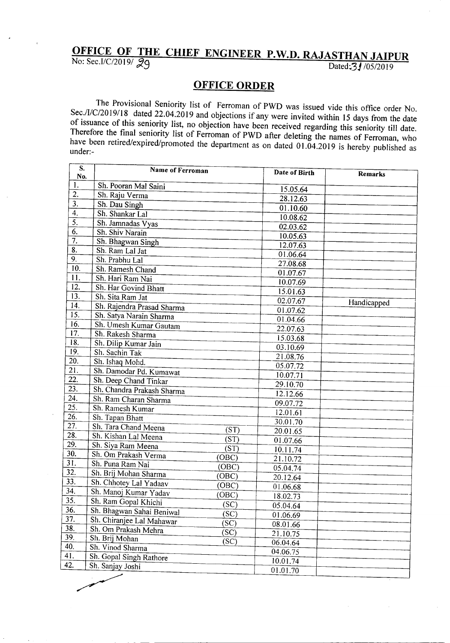## **OFFICE OF THE CHIEF ENGINEER P.W.D. RAJASTHAN JAIPUR**

No: Sec.I/C/2019/ $29$  Dated: $31/05/2019$ 

## **OFFICE ORDER**

The Provisional Seniority list of Ferroman of PWD was issued vide this office order No. Sec./I/C/20l9/18 dated 22.04.2019 and objections if any were invited within 15 days from the date of issuance of this seniority list, no objection have been received regarding this seniority till date. Therefore the final seniority list of Ferroman of PWD after deleting the names of Ferroman, who have been retired/expired/promoted the department as on dated 01.04.2019 is hereby published as under:-

| S.<br>No.         | Name of Ferroman           |                   | Date of Birth | Remarks     |  |
|-------------------|----------------------------|-------------------|---------------|-------------|--|
| 1.                | Sh. Pooran Mal Saini       |                   |               |             |  |
| 2.                | Sh. Raju Verma             |                   | 15.05.64      |             |  |
| 3.                | Sh. Dau Singh              |                   | 28.12.63      |             |  |
| $\overline{4}$ .  | Sh. Shankar Lal            |                   | 01.10.60      |             |  |
| 5.                | Sh. Jamnadas Vyas          |                   | 10.08.62      |             |  |
| 6.                | Sh. Shiv Narain            |                   | 02.03.62      |             |  |
| $\overline{7}$ .  | Sh. Bhagwan Singh          |                   | 10.05.63      |             |  |
| 8.                | Sh. Ram Lal Jat            |                   | 12.07.63      |             |  |
| 9.                | Sh. Prabhu Lal             |                   | 01.06.64      |             |  |
| 10.               | Sh. Ramesh Chand           |                   | 27.08.68      |             |  |
| 11.               | Sh. Hari Ram Nai           |                   | 01.07.67      |             |  |
| 12.               | Sh. Har Govind Bhatt       |                   | 10.07.69      |             |  |
| 13.               | Sh. Sita Ram Jat           |                   | 15.01.63      |             |  |
| 14.               | Sh. Rajendra Prasad Sharma |                   | 02.07.67      | Handicapped |  |
| 15.               | Sh. Satya Narain Sharma    |                   | 01.07.62      |             |  |
| 16.               | Sh. Umesh Kumar Gautam     |                   | 01.04.66      |             |  |
| 17.               | Sh. Rakesh Sharma          |                   | 22.07.63      |             |  |
| 18.               | Sh. Dilip Kumar Jain       |                   | 15.03.68      |             |  |
| 19.               | Sh. Sachin Tak             |                   | 03.10.69      |             |  |
| 20.               | Sh. Ishaq Mohd.            |                   | 21.08.76      |             |  |
| $\overline{21}$ . | Sh. Damodar Pd. Kumawat    |                   | 05.07.72      |             |  |
| $\overline{22}$ . | Sh. Deep Chand Tinkar      |                   | 10.07.71      |             |  |
| $\overline{23}$ . | Sh. Chandra Prakash Sharma |                   | 29.10.70      |             |  |
| 24.               | Sh. Ram Charan Sharma      |                   | 12.12.66      |             |  |
| 25.               | Sh. Ramesh Kumar           |                   | 09.07.72      |             |  |
| 26.               | Sh. Tapan Bhatt            |                   | 12.01.61      |             |  |
| 27.               | Sh. Tara Chand Meena       |                   | 30.01.70      |             |  |
| $\overline{28}$ . | Sh. Kishan Lal Meena       | (ST)              | 20.01.65      |             |  |
| 29.               | Sh. Siya Ram Meena         | (ST)              | 01.07.66      |             |  |
| 30.               | Sh. Om Prakash Verma       | (ST)              | 10.11.74      |             |  |
| 31.               | Sh. Puna Ram Nai           | (OBC)             | 21.10.72      |             |  |
| 32.               | Sh. Brij Mohan Sharma      | (OBC)             | 05.04.74      |             |  |
| 33.               | Sh. Chhotey Lal Yadaav     | (OBC)             | 20.12.64      |             |  |
| $\overline{34}$ . | Sh. Manoj Kumar Yadav      | (OBC)             | 01.06.68      |             |  |
| 35.               | Sh. Ram Gopal Khichi       | (OBC)             | 18.02.73      |             |  |
| 36.               | Sh. Bhagwan Sahai Beniwal  | $(S\overline{C})$ | 05.04.64      |             |  |
| 37.               | Sh. Chiranjee Lal Mahawar  | (SC)              | 01.06.69      |             |  |
| 38.               | Sh. Om Prakash Mehra       | $(S\overline{C})$ | 08.01.66      |             |  |
| 39.               | Sh. Brij Mohan             | (SC)              | 21.10.75      |             |  |
| 40.               | Sh. Vinod Sharma           | (SC)              | 06.04.64      |             |  |
| 41.               | Sh. Gopal Singh Rathore    |                   | 04.06.75      |             |  |
| 42.               | Sh. Sanjay Joshi           |                   | 10.01.74      |             |  |
|                   |                            |                   | 01.01.70      |             |  |